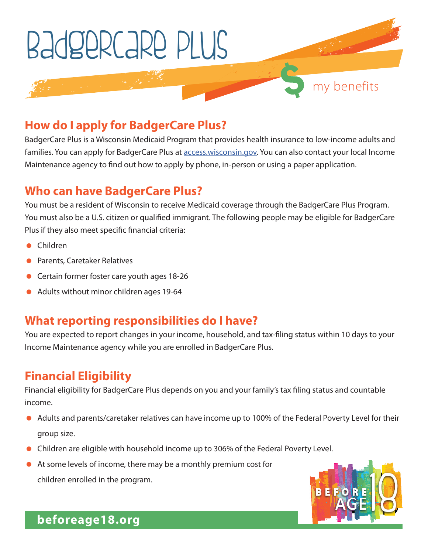

#### **How do I apply for BadgerCare Plus?**

BadgerCare Plus is a Wisconsin Medicaid Program that provides health insurance to low-income adults and families. You can apply for BadgerCare Plus at **access.wisconsin.gov.** You can also contact your local Income Maintenance agency to find out how to apply by phone, in-person or using a paper application.

## **Who can have BadgerCare Plus?**

You must be a resident of Wisconsin to receive Medicaid coverage through the BadgerCare Plus Program. You must also be a U.S. citizen or qualified immigrant. The following people may be eligible for BadgerCare Plus if they also meet specific financial criteria:

- Children
- Parents, Caretaker Relatives
- Certain former foster care youth ages 18-26
- Adults without minor children ages 19-64

#### **What reporting responsibilities do I have?**

You are expected to report changes in your income, household, and tax-filing status within 10 days to your Income Maintenance agency while you are enrolled in BadgerCare Plus.

## **Financial Eligibility**

Financial eligibility for BadgerCare Plus depends on you and your family's tax filing status and countable income.

- Adults and parents/caretaker relatives can have income up to 100% of the Federal Poverty Level for their group size.
- Children are eligible with household income up to 306% of the Federal Poverty Level.
- At some levels of income, there may be a monthly premium cost for children enrolled in the program.



**beforeage18.org**